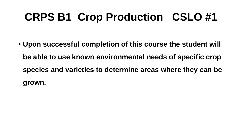## **CRPS B1 Crop Production CSLO #1**

• **Upon successful completion of this course the student will be able to use known environmental needs of specific crop species and varieties to determine areas where they can be grown.**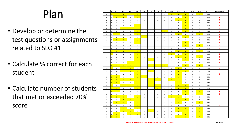## Plan

- Develop or determine the test questions or assignments related to SLO #1
- Calculate % correct for each student
- Calculate number of students that met or exceeded 70% score

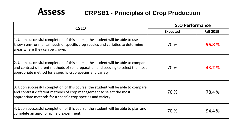#### **Assess CRPSB1 - Principles of Crop Production**

| <b>CSLO</b>                                                                                                                                                                                                                           | <b>SLO Performance</b> |                  |
|---------------------------------------------------------------------------------------------------------------------------------------------------------------------------------------------------------------------------------------|------------------------|------------------|
|                                                                                                                                                                                                                                       | <b>Expected</b>        | <b>Fall 2019</b> |
| 1. Upon successful completion of this course, the student will be able to use<br>known environmental needs of specific crop species and varieties to determine<br>areas where they can be grown.                                      | 70 %                   | 56.8%            |
| 2. Upon successful completion of this course, the student will be able to compare<br>and contrast different methods of soil preparation and seeding to select the most<br>appropriate method for a specific crop species and variety. | 70 %                   | 43.2 %           |
| 3. Upon successful completion of this course, the student will be able to compare<br>and contrast different methods of crop management to select the most<br>appropriate methods for a specific crop species and variety.             | 70 %                   | 78.4 %           |
| 4. Upon successful completion of this course, the student will be able to plan and<br>complete an agronomic field experiment.                                                                                                         | 70 %                   | 94.4 %           |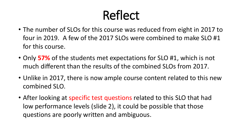# Reflect

- The number of SLOs for this course was reduced from eight in 2017 to four in 2019. A few of the 2017 SLOs were combined to make SLO #1 for this course.
- Only **57%** of the students met expectations for SLO #1, which is not much different than the results of the combined SLOs from 2017.
- Unlike in 2017, there is now ample course content related to this new combined SLO.
- After looking at specific test questions related to this SLO that had low performance levels (slide 2), it could be possible that those questions are poorly written and ambiguous.